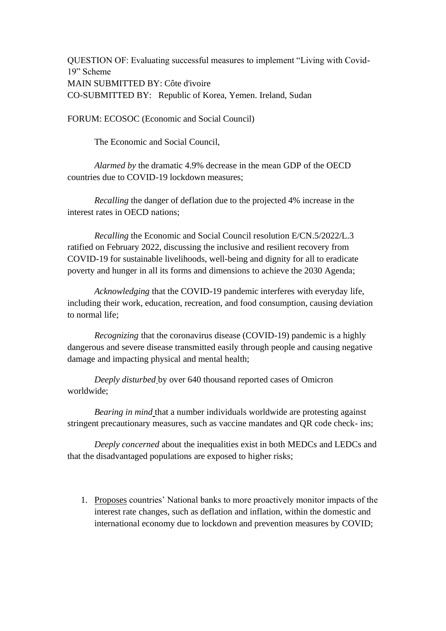QUESTION OF: Evaluating successful measures to implement "Living with Covid-19" Scheme MAIN SUBMITTED BY: Côte d'ivoire CO-SUBMITTED BY: Republic of Korea, Yemen. Ireland, Sudan

FORUM: ECOSOC (Economic and Social Council)

The Economic and Social Council,

*Alarmed by* the dramatic 4.9% decrease in the mean GDP of the OECD countries due to COVID-19 lockdown measures;

*Recalling* the danger of deflation due to the projected 4% increase in the interest rates in OECD nations;

*Recalling* the Economic and Social Council resolution E/CN.5/2022/L.3 ratified on February 2022, discussing the inclusive and resilient recovery from COVID-19 for sustainable livelihoods, well-being and dignity for all to eradicate poverty and hunger in all its forms and dimensions to achieve the 2030 Agenda;

*Acknowledging* that the COVID-19 pandemic interferes with everyday life, including their work, education, recreation, and food consumption, causing deviation to normal life;

*Recognizing* that the coronavirus disease (COVID-19) pandemic is a highly dangerous and severe disease transmitted easily through people and causing negative damage and impacting physical and mental health;

*Deeply disturbed* by over 640 thousand reported cases of Omicron worldwide;

*Bearing in mind* that a number individuals worldwide are protesting against stringent precautionary measures, such as vaccine mandates and QR code check- ins;

*Deeply concerned* about the inequalities exist in both MEDCs and LEDCs and that the disadvantaged populations are exposed to higher risks;

1. Proposes countries' National banks to more proactively monitor impacts of the interest rate changes, such as deflation and inflation, within the domestic and international economy due to lockdown and prevention measures by COVID;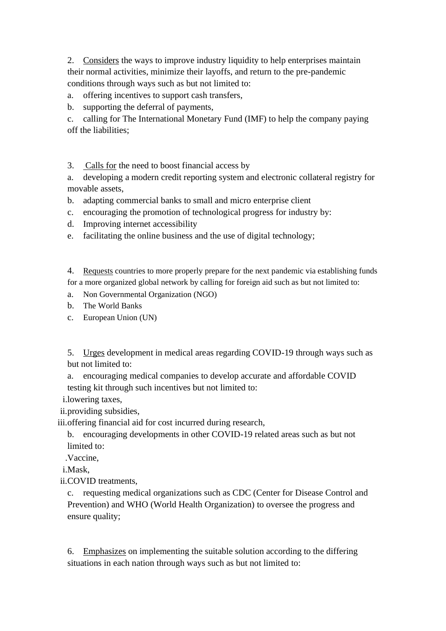2. Considers the ways to improve industry liquidity to help enterprises maintain their normal activities, minimize their layoffs, and return to the pre-pandemic conditions through ways such as but not limited to:

a. offering incentives to support cash transfers,

b. supporting the deferral of payments,

c. calling for The International Monetary Fund (IMF) to help the company paying off the liabilities;

3. Calls for the need to boost financial access by

a. developing a modern credit reporting system and electronic collateral registry for movable assets,

b. adapting commercial banks to small and micro enterprise client

c. encouraging the promotion of technological progress for industry by:

d. Improving internet accessibility

e. facilitating the online business and the use of digital technology;

4. Requests countries to more properly prepare for the next pandemic via establishing funds for a more organized global network by calling for foreign aid such as but not limited to:

a. Non Governmental Organization (NGO)

b. The World Banks

c. European Union (UN)

5. Urges development in medical areas regarding COVID-19 through ways such as but not limited to:

a. encouraging medical companies to develop accurate and affordable COVID testing kit through such incentives but not limited to:

i.lowering taxes,

ii.providing subsidies,

iii.offering financial aid for cost incurred during research,

b. encouraging developments in other COVID-19 related areas such as but not limited to:

.Vaccine,

i.Mask,

ii.COVID treatments,

c. requesting medical organizations such as CDC (Center for Disease Control and Prevention) and WHO (World Health Organization) to oversee the progress and ensure quality;

6. Emphasizes on implementing the suitable solution according to the differing situations in each nation through ways such as but not limited to: